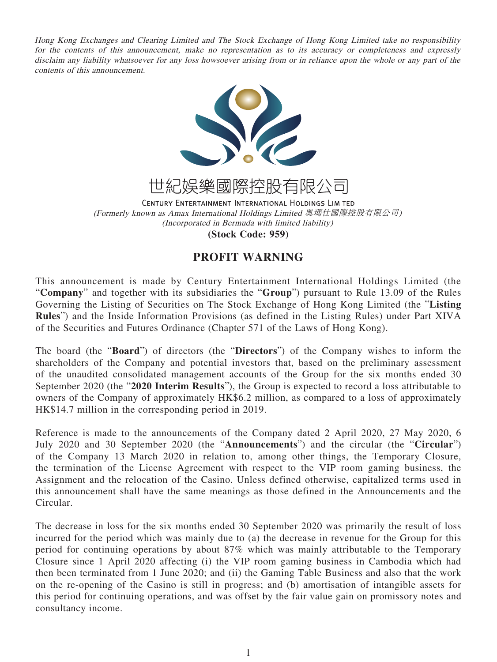Hong Kong Exchanges and Clearing Limited and The Stock Exchange of Hong Kong Limited take no responsibility for the contents of this announcement, make no representation as to its accuracy or completeness and expressly disclaim any liability whatsoever for any loss howsoever arising from or in reliance upon the whole or any part of the contents of this announcement.



世紀娛樂國際控股有限公司

CENTURY ENTERTAINMENT INTERNATIONAL HOLDINGS LIMITED (Formerly known as Amax International Holdings Limited 奧瑪仕國際控股有限公司) (Incorporated in Bermuda with limited liability)

**(Stock Code: 959)**

## **PROFIT WARNING**

This announcement is made by Century Entertainment International Holdings Limited (the "**Company**" and together with its subsidiaries the "**Group**") pursuant to Rule 13.09 of the Rules Governing the Listing of Securities on The Stock Exchange of Hong Kong Limited (the "**Listing Rules**") and the Inside Information Provisions (as defined in the Listing Rules) under Part XIVA of the Securities and Futures Ordinance (Chapter 571 of the Laws of Hong Kong).

The board (the "**Board**") of directors (the "**Directors**") of the Company wishes to inform the shareholders of the Company and potential investors that, based on the preliminary assessment of the unaudited consolidated management accounts of the Group for the six months ended 30 September 2020 (the "**2020 Interim Results**"), the Group is expected to record a loss attributable to owners of the Company of approximately HK\$6.2 million, as compared to a loss of approximately HK\$14.7 million in the corresponding period in 2019.

Reference is made to the announcements of the Company dated 2 April 2020, 27 May 2020, 6 July 2020 and 30 September 2020 (the "**Announcements**") and the circular (the "**Circular**") of the Company 13 March 2020 in relation to, among other things, the Temporary Closure, the termination of the License Agreement with respect to the VIP room gaming business, the Assignment and the relocation of the Casino. Unless defined otherwise, capitalized terms used in this announcement shall have the same meanings as those defined in the Announcements and the Circular.

The decrease in loss for the six months ended 30 September 2020 was primarily the result of loss incurred for the period which was mainly due to (a) the decrease in revenue for the Group for this period for continuing operations by about 87% which was mainly attributable to the Temporary Closure since 1 April 2020 affecting (i) the VIP room gaming business in Cambodia which had then been terminated from 1 June 2020; and (ii) the Gaming Table Business and also that the work on the re-opening of the Casino is still in progress; and (b) amortisation of intangible assets for this period for continuing operations, and was offset by the fair value gain on promissory notes and consultancy income.